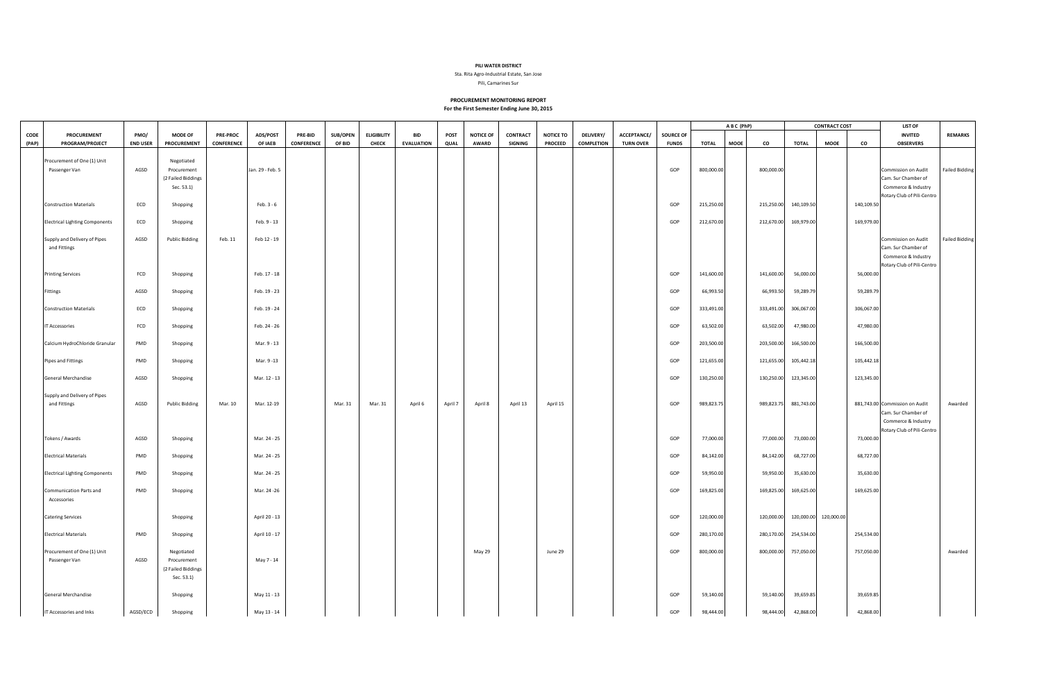## **PILI WATER DISTRICT**

Sta. Rita Agro-Industrial Estate, San Jose

Pili, Camarines Sur

## **PROCUREMENT MONITORING REPORT**

**For the First Semester Ending June 30, 2015**

|       |                                              |                 |                       |                 |                  |            |          |                    |                   |         |                  |                |                  |                   |                  |              | ABC (PhP)    |      |            | <b>CONTRACT COST</b> |                       | LIST OF    |                                            |                       |
|-------|----------------------------------------------|-----------------|-----------------------|-----------------|------------------|------------|----------|--------------------|-------------------|---------|------------------|----------------|------------------|-------------------|------------------|--------------|--------------|------|------------|----------------------|-----------------------|------------|--------------------------------------------|-----------------------|
| CODE  | <b>PROCUREMENT</b>                           | PMO/            | <b>MODE OF</b>        | <b>PRE-PROC</b> | ADS/POST         | PRE-BID    | SUB/OPEN | <b>ELIGIBILITY</b> | <b>BID</b>        | POST    | <b>NOTICE OF</b> | CONTRACT       | <b>NOTICE TO</b> | <b>DELIVERY/</b>  | ACCEPTANCE/      | SOURCE OF    |              |      |            |                      |                       |            | <b>INVITED</b>                             | <b>REMARKS</b>        |
| (PAP) | PROGRAM/PROJECT                              | <b>END USER</b> | PROCUREMENT           | CONFERENCE      | OF IAEB          | CONFERENCE | OF BID   | <b>CHECK</b>       | <b>EVALUATION</b> | QUAL    | AWARD            | <b>SIGNING</b> | <b>PROCEED</b>   | <b>COMPLETION</b> | <b>TURN OVER</b> | <b>FUNDS</b> | <b>TOTAL</b> | MOOE | co         | <b>TOTAL</b>         | <b>MOOE</b>           | co         | <b>OBSERVERS</b>                           |                       |
|       | Procurement of One (1) Unit                  |                 | Negotiated            |                 |                  |            |          |                    |                   |         |                  |                |                  |                   |                  |              |              |      |            |                      |                       |            |                                            |                       |
|       | Passenger Van                                | AGSD            | Procurement           |                 | Jan. 29 - Feb. 5 |            |          |                    |                   |         |                  |                |                  |                   |                  | GOP          | 800,000.00   |      | 800,000.00 |                      |                       |            | Commission on Audit                        | <b>Failed Bidding</b> |
|       |                                              |                 | (2 Failed Biddings    |                 |                  |            |          |                    |                   |         |                  |                |                  |                   |                  |              |              |      |            |                      |                       |            | Cam. Sur Chamber of                        |                       |
|       |                                              |                 | Sec. 53.1)            |                 |                  |            |          |                    |                   |         |                  |                |                  |                   |                  |              |              |      |            |                      |                       |            | Commerce & Industry                        |                       |
|       |                                              |                 |                       |                 |                  |            |          |                    |                   |         |                  |                |                  |                   |                  |              |              |      |            |                      |                       |            | Rotary Club of Pili-Centro                 |                       |
|       | <b>Construction Materials</b>                | ECD             | Shopping              |                 | Feb. 3 - 6       |            |          |                    |                   |         |                  |                |                  |                   |                  | GOP          | 215,250.00   |      | 215,250.00 | 140,109.50           |                       | 140,109.50 |                                            |                       |
|       |                                              |                 |                       |                 |                  |            |          |                    |                   |         |                  |                |                  |                   |                  |              |              |      |            |                      |                       |            |                                            |                       |
|       | <b>Electrical Lighting Components</b>        | ECD             | Shopping              |                 | Feb. 9 - 13      |            |          |                    |                   |         |                  |                |                  |                   |                  | GOP          | 212,670.00   |      | 212,670.00 | 169,979.00           |                       | 169,979.00 |                                            |                       |
|       |                                              |                 |                       |                 |                  |            |          |                    |                   |         |                  |                |                  |                   |                  |              |              |      |            |                      |                       |            |                                            |                       |
|       | Supply and Delivery of Pipes<br>and Fittings | AGSD            | <b>Public Bidding</b> | Feb. 11         | Feb 12 - 19      |            |          |                    |                   |         |                  |                |                  |                   |                  |              |              |      |            |                      |                       |            | Commission on Audit                        | <b>Failed Bidding</b> |
|       |                                              |                 |                       |                 |                  |            |          |                    |                   |         |                  |                |                  |                   |                  |              |              |      |            |                      |                       |            | Cam. Sur Chamber of<br>Commerce & Industry |                       |
|       |                                              |                 |                       |                 |                  |            |          |                    |                   |         |                  |                |                  |                   |                  |              |              |      |            |                      |                       |            | Rotary Club of Pili-Centro                 |                       |
|       | <b>Printing Services</b>                     | FCD             | Shopping              |                 | Feb. 17 - 18     |            |          |                    |                   |         |                  |                |                  |                   |                  | GOP          | 141,600.00   |      | 141,600.00 | 56,000.00            |                       | 56,000.00  |                                            |                       |
|       |                                              |                 |                       |                 |                  |            |          |                    |                   |         |                  |                |                  |                   |                  |              |              |      |            |                      |                       |            |                                            |                       |
|       | Fittings                                     | AGSD            | Shopping              |                 | Feb. 19 - 23     |            |          |                    |                   |         |                  |                |                  |                   |                  | GOP          | 66,993.50    |      | 66,993.50  | 59,289.79            |                       | 59,289.79  |                                            |                       |
|       |                                              |                 |                       |                 |                  |            |          |                    |                   |         |                  |                |                  |                   |                  |              |              |      |            |                      |                       |            |                                            |                       |
|       | <b>Construction Materials</b>                | ECD             | Shopping              |                 | Feb. 19 - 24     |            |          |                    |                   |         |                  |                |                  |                   |                  | GOP          | 333,491.00   |      | 333,491.00 | 306,067.00           |                       | 306,067.00 |                                            |                       |
|       |                                              |                 |                       |                 |                  |            |          |                    |                   |         |                  |                |                  |                   |                  |              |              |      |            |                      |                       |            |                                            |                       |
|       | T Accessories                                | FCD             | Shopping              |                 | Feb. 24 - 26     |            |          |                    |                   |         |                  |                |                  |                   |                  | GOP          | 63,502.00    |      | 63,502.00  | 47,980.00            |                       | 47,980.00  |                                            |                       |
|       |                                              |                 |                       |                 |                  |            |          |                    |                   |         |                  |                |                  |                   |                  |              |              |      |            |                      |                       |            |                                            |                       |
|       | Calcium HydroChloride Granular               | PMD             | Shopping              |                 | Mar. 9 - 13      |            |          |                    |                   |         |                  |                |                  |                   |                  | GOP          | 203,500.00   |      | 203,500.00 | 166,500.00           |                       | 166,500.00 |                                            |                       |
|       |                                              |                 |                       |                 |                  |            |          |                    |                   |         |                  |                |                  |                   |                  |              |              |      |            |                      |                       |            |                                            |                       |
|       | Pipes and Fittings                           | PMD             | Shopping              |                 | Mar. 9-13        |            |          |                    |                   |         |                  |                |                  |                   |                  | GOP          | 121,655.00   |      | 121,655.00 | 105,442.18           |                       | 105,442.18 |                                            |                       |
|       | General Merchandise                          | AGSD            | Shopping              |                 | Mar. 12 - 13     |            |          |                    |                   |         |                  |                |                  |                   |                  | GOP          | 130,250.00   |      | 130,250.00 | 123,345.00           |                       | 123,345.00 |                                            |                       |
|       |                                              |                 |                       |                 |                  |            |          |                    |                   |         |                  |                |                  |                   |                  |              |              |      |            |                      |                       |            |                                            |                       |
|       | Supply and Delivery of Pipes                 |                 |                       |                 |                  |            |          |                    |                   |         |                  |                |                  |                   |                  |              |              |      |            |                      |                       |            |                                            |                       |
|       | and Fittings                                 | AGSD            | <b>Public Bidding</b> | Mar. 10         | Mar. 12-19       |            | Mar. 31  | Mar. 31            | April 6           | April 7 | April 8          | April 13       | April 15         |                   |                  | GOP          | 989,823.75   |      | 989,823.75 | 881,743.00           |                       |            | 881,743.00 Commission on Audit             | Awarded               |
|       |                                              |                 |                       |                 |                  |            |          |                    |                   |         |                  |                |                  |                   |                  |              |              |      |            |                      |                       |            | Cam. Sur Chamber of                        |                       |
|       |                                              |                 |                       |                 |                  |            |          |                    |                   |         |                  |                |                  |                   |                  |              |              |      |            |                      |                       |            | Commerce & Industry                        |                       |
|       |                                              |                 |                       |                 |                  |            |          |                    |                   |         |                  |                |                  |                   |                  |              |              |      |            |                      |                       |            | Rotary Club of Pili-Centro                 |                       |
|       | Tokens / Awards                              | AGSD            | Shopping              |                 | Mar. 24 - 25     |            |          |                    |                   |         |                  |                |                  |                   |                  | GOP          | 77,000.00    |      | 77,000.00  | 73,000.00            |                       | 73,000.00  |                                            |                       |
|       |                                              |                 |                       |                 |                  |            |          |                    |                   |         |                  |                |                  |                   |                  |              |              |      |            |                      |                       |            |                                            |                       |
|       | <b>Electrical Materials</b>                  | PMD             | Shopping              |                 | Mar. 24 - 25     |            |          |                    |                   |         |                  |                |                  |                   |                  | GOP          | 84,142.00    |      | 84,142.00  | 68,727.00            |                       | 68,727.00  |                                            |                       |
|       |                                              |                 |                       |                 |                  |            |          |                    |                   |         |                  |                |                  |                   |                  |              |              |      |            |                      |                       |            |                                            |                       |
|       | <b>Electrical Lighting Components</b>        | PMD             | Shopping              |                 | Mar. 24 - 25     |            |          |                    |                   |         |                  |                |                  |                   |                  | GOP          | 59,950.00    |      | 59,950.00  | 35,630.00            |                       | 35,630.00  |                                            |                       |
|       | Communication Parts and                      | PMD             | Shopping              |                 | Mar. 24-26       |            |          |                    |                   |         |                  |                |                  |                   |                  | GOP          | 169,825.00   |      | 169,825.00 | 169,625.00           |                       | 169,625.00 |                                            |                       |
|       | Accessories                                  |                 |                       |                 |                  |            |          |                    |                   |         |                  |                |                  |                   |                  |              |              |      |            |                      |                       |            |                                            |                       |
|       |                                              |                 |                       |                 |                  |            |          |                    |                   |         |                  |                |                  |                   |                  |              |              |      |            |                      |                       |            |                                            |                       |
|       | <b>Catering Services</b>                     |                 | Shopping              |                 | April 20 - 13    |            |          |                    |                   |         |                  |                |                  |                   |                  | GOP          | 120,000.00   |      | 120,000.00 |                      | 120,000.00 120,000.00 |            |                                            |                       |
|       |                                              |                 |                       |                 |                  |            |          |                    |                   |         |                  |                |                  |                   |                  |              |              |      |            |                      |                       |            |                                            |                       |
|       | <b>Electrical Materials</b>                  | PMD             | Shopping              |                 | April 10 - 17    |            |          |                    |                   |         |                  |                |                  |                   |                  | GOP          | 280,170.00   |      | 280,170.00 | 254,534.00           |                       | 254,534.00 |                                            |                       |
|       |                                              |                 |                       |                 |                  |            |          |                    |                   |         |                  |                |                  |                   |                  |              |              |      |            |                      |                       |            |                                            |                       |
|       | Procurement of One (1) Unit                  |                 | Negotiated            |                 |                  |            |          |                    |                   |         | May 29           |                | June 29          |                   |                  | GOP          | 800,000.00   |      | 800,000.00 | 757,050.00           |                       | 757,050.00 |                                            | Awarded               |
|       | Passenger Van                                | AGSD            | Procurement           |                 | May 7 - 14       |            |          |                    |                   |         |                  |                |                  |                   |                  |              |              |      |            |                      |                       |            |                                            |                       |
|       |                                              |                 | (2 Failed Biddings    |                 |                  |            |          |                    |                   |         |                  |                |                  |                   |                  |              |              |      |            |                      |                       |            |                                            |                       |
|       |                                              |                 | Sec. 53.1)            |                 |                  |            |          |                    |                   |         |                  |                |                  |                   |                  |              |              |      |            |                      |                       |            |                                            |                       |
|       |                                              |                 |                       |                 |                  |            |          |                    |                   |         |                  |                |                  |                   |                  |              |              |      |            |                      |                       |            |                                            |                       |
|       | General Merchandise                          |                 | Shopping              |                 | May 11 - 13      |            |          |                    |                   |         |                  |                |                  |                   |                  | GOP          | 59,140.00    |      | 59,140.00  | 39,659.85            |                       | 39,659.85  |                                            |                       |
|       | IT Accessories and Inks                      | AGSD/ECD        | Shopping              |                 | May 13 - 14      |            |          |                    |                   |         |                  |                |                  |                   |                  | GOP          | 98,444.00    |      | 98,444.00  | 42,868.00            |                       | 42,868.00  |                                            |                       |
|       |                                              |                 |                       |                 |                  |            |          |                    |                   |         |                  |                |                  |                   |                  |              |              |      |            |                      |                       |            |                                            |                       |